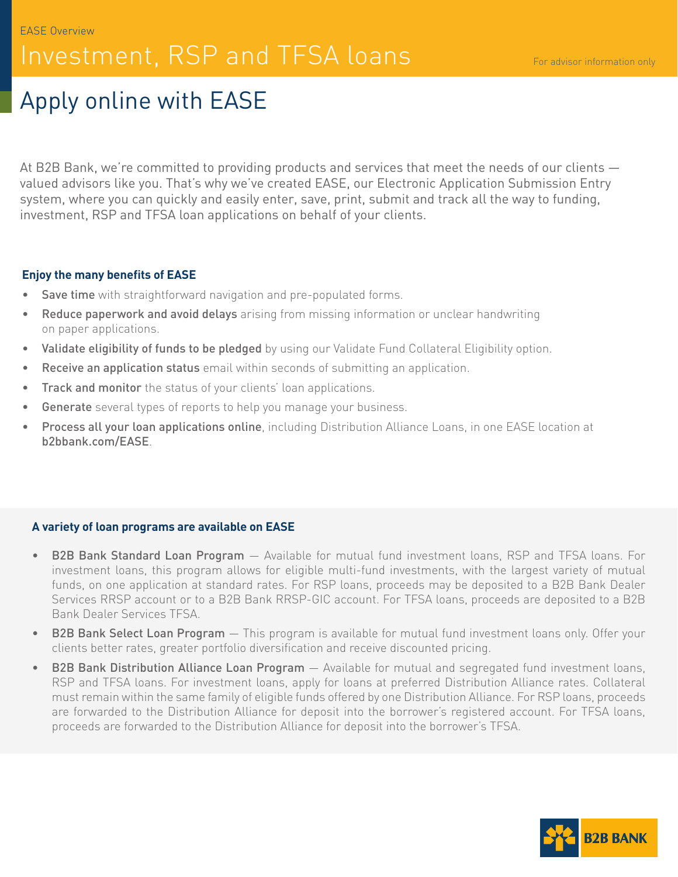# Investment, RSP and TFSA loans

# Apply online with EASE

At B2B Bank, we're committed to providing products and services that meet the needs of our clients valued advisors like you. That's why we've created EASE, our Electronic Application Submission Entry system, where you can quickly and easily enter, save, print, submit and track all the way to funding, investment, RSP and TFSA loan applications on behalf of your clients.

### **Enjoy the many benefits of EASE**

- Save time with straightforward navigation and pre-populated forms.
- Reduce paperwork and avoid delays arising from missing information or unclear handwriting on paper applications.
- Validate eligibility of funds to be pledged by using our Validate Fund Collateral Eligibility option.
- Receive an application status email within seconds of submitting an application.
- Track and monitor the status of your clients' loan applications.
- Generate several types of reports to help you manage your business.
- Process all your loan applications online, including Distribution Alliance Loans, in one EASE location at b2bbank.com/EASE.

# **A variety of loan programs are available on EASE**

- **B2B Bank Standard Loan Program** Available for mutual fund investment loans, RSP and TFSA loans. For investment loans, this program allows for eligible multi-fund investments, with the largest variety of mutual funds, on one application at standard rates. For RSP loans, proceeds may be deposited to a B2B Bank Dealer Services RRSP account or to a B2B Bank RRSP-GIC account. For TFSA loans, proceeds are deposited to a B2B Bank Dealer Services TFSA.
- **B2B Bank Select Loan Program** This program is available for mutual fund investment loans only. Offer your clients better rates, greater portfolio diversification and receive discounted pricing.
- B2B Bank Distribution Alliance Loan Program Available for mutual and segregated fund investment loans, RSP and TFSA loans. For investment loans, apply for loans at preferred Distribution Alliance rates. Collateral must remain within the same family of eligible funds offered by one Distribution Alliance. For RSP loans, proceeds are forwarded to the Distribution Alliance for deposit into the borrower's registered account. For TFSA loans, proceeds are forwarded to the Distribution Alliance for deposit into the borrower's TFSA.